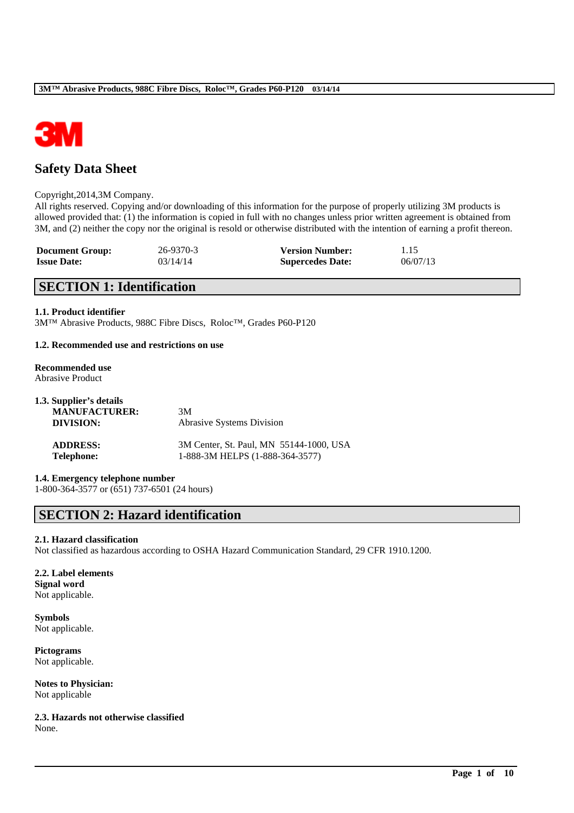

# **Safety Data Sheet**

#### Copyright,2014,3M Company.

All rights reserved. Copying and/or downloading of this information for the purpose of properly utilizing 3M products is allowed provided that: (1) the information is copied in full with no changes unless prior written agreement is obtained from 3M, and (2) neither the copy nor the original is resold or otherwise distributed with the intention of earning a profit thereon.

| <b>Document Group:</b> | 26-9370-3 | <b>Version Number:</b>  | 1.15     |
|------------------------|-----------|-------------------------|----------|
| <b>Issue Date:</b>     | 03/14/14  | <b>Supercedes Date:</b> | 06/07/13 |

# **SECTION 1: Identification**

#### **1.1. Product identifier**

3M™ Abrasive Products, 988C Fibre Discs, Roloc™, Grades P60-P120

#### **1.2. Recommended use and restrictions on use**

#### **Recommended use** Abrasive Product

| 1.3. Supplier's details<br><b>MANUFACTURER:</b> | 3M                                      |
|-------------------------------------------------|-----------------------------------------|
| DIVISION:                                       | <b>Abrasive Systems Division</b>        |
| <b>ADDRESS:</b>                                 | 3M Center, St. Paul, MN 55144-1000, USA |
| <b>Telephone:</b>                               | 1-888-3M HELPS (1-888-364-3577)         |

#### **1.4. Emergency telephone number**

1-800-364-3577 or (651) 737-6501 (24 hours)

# **SECTION 2: Hazard identification**

#### **2.1. Hazard classification**

Not classified as hazardous according to OSHA Hazard Communication Standard, 29 CFR 1910.1200.

\_\_\_\_\_\_\_\_\_\_\_\_\_\_\_\_\_\_\_\_\_\_\_\_\_\_\_\_\_\_\_\_\_\_\_\_\_\_\_\_\_\_\_\_\_\_\_\_\_\_\_\_\_\_\_\_\_\_\_\_\_\_\_\_\_\_\_\_\_\_\_\_\_\_\_\_\_\_\_\_\_\_\_\_\_\_\_\_\_\_

#### **2.2. Label elements Signal word** Not applicable.

**Symbols** Not applicable.

**Pictograms** Not applicable.

**Notes to Physician:** Not applicable

**2.3. Hazards not otherwise classified** None.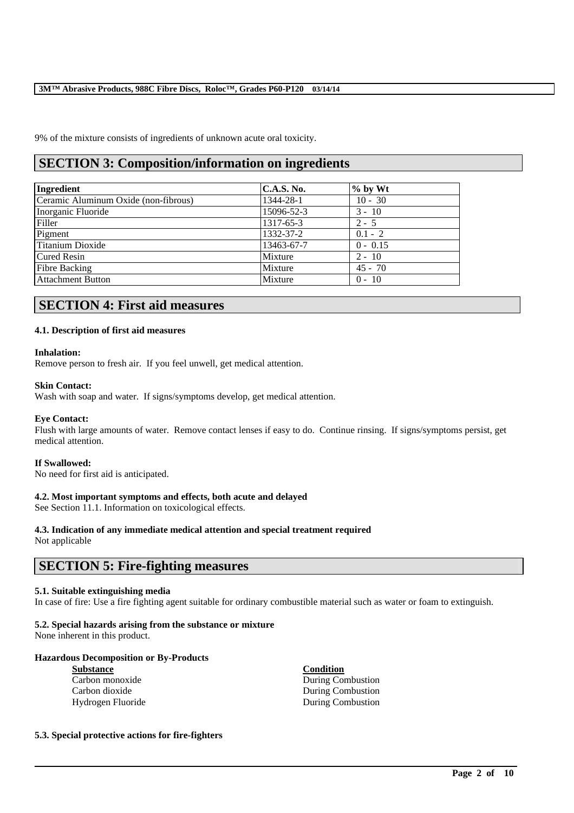9% of the mixture consists of ingredients of unknown acute oral toxicity.

# **SECTION 3: Composition/information on ingredients**

| Ingredient                           | <b>C.A.S. No.</b> | $%$ by Wt  |
|--------------------------------------|-------------------|------------|
| Ceramic Aluminum Oxide (non-fibrous) | 1344-28-1         | $10 - 30$  |
| Inorganic Fluoride                   | 15096-52-3        | $3 - 10$   |
| Filler                               | 1317-65-3         | $2 - 5$    |
| Pigment                              | 1332-37-2         | $0.1 - 2$  |
| Titanium Dioxide                     | 13463-67-7        | $0 - 0.15$ |
| <b>Cured Resin</b>                   | Mixture           | $2 - 10$   |
| <b>Fibre Backing</b>                 | Mixture           | $45 - 70$  |
| <b>Attachment Button</b>             | Mixture           | $0 - 10$   |

# **SECTION 4: First aid measures**

#### **4.1. Description of first aid measures**

#### **Inhalation:**

Remove person to fresh air. If you feel unwell, get medical attention.

#### **Skin Contact:**

Wash with soap and water. If signs/symptoms develop, get medical attention.

#### **Eye Contact:**

Flush with large amounts of water. Remove contact lenses if easy to do. Continue rinsing. If signs/symptoms persist, get medical attention.

#### **If Swallowed:**

No need for first aid is anticipated.

#### **4.2. Most important symptoms and effects, both acute and delayed**

See Section 11.1. Information on toxicological effects.

## **4.3. Indication of any immediate medical attention and special treatment required**

Not applicable

# **SECTION 5: Fire-fighting measures**

#### **5.1. Suitable extinguishing media**

In case of fire: Use a fire fighting agent suitable for ordinary combustible material such as water or foam to extinguish.

\_\_\_\_\_\_\_\_\_\_\_\_\_\_\_\_\_\_\_\_\_\_\_\_\_\_\_\_\_\_\_\_\_\_\_\_\_\_\_\_\_\_\_\_\_\_\_\_\_\_\_\_\_\_\_\_\_\_\_\_\_\_\_\_\_\_\_\_\_\_\_\_\_\_\_\_\_\_\_\_\_\_\_\_\_\_\_\_\_\_

#### **5.2. Special hazards arising from the substance or mixture**

None inherent in this product.

#### **Hazardous Decomposition or By-Products**

| <b>Substance</b>  | <b>Condition</b>         |
|-------------------|--------------------------|
| Carbon monoxide   | <b>During Combustion</b> |
| Carbon dioxide    | <b>During Combustion</b> |
| Hydrogen Fluoride | <b>During Combustion</b> |

#### **5.3. Special protective actions for fire-fighters**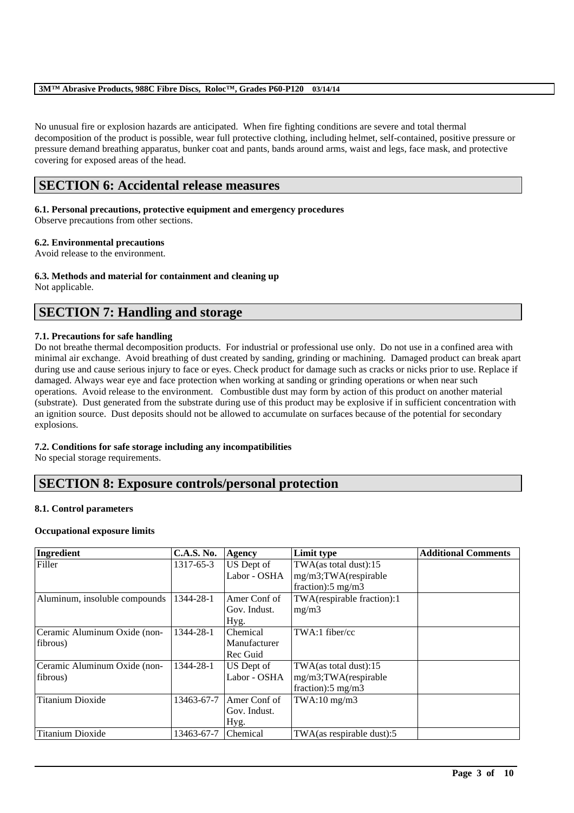No unusual fire or explosion hazards are anticipated. When fire fighting conditions are severe and total thermal decomposition of the product is possible, wear full protective clothing, including helmet, self-contained, positive pressure or pressure demand breathing apparatus, bunker coat and pants, bands around arms, waist and legs, face mask, and protective covering for exposed areas of the head.

# **SECTION 6: Accidental release measures**

#### **6.1. Personal precautions, protective equipment and emergency procedures**

Observe precautions from other sections.

#### **6.2. Environmental precautions**

Avoid release to the environment.

# **6.3. Methods and material for containment and cleaning up**

Not applicable.

# **SECTION 7: Handling and storage**

#### **7.1. Precautions for safe handling**

Do not breathe thermal decomposition products. For industrial or professional use only. Do not use in a confined area with minimal air exchange. Avoid breathing of dust created by sanding, grinding or machining. Damaged product can break apart during use and cause serious injury to face or eyes. Check product for damage such as cracks or nicks prior to use. Replace if damaged. Always wear eye and face protection when working at sanding or grinding operations or when near such operations. Avoid release to the environment. Combustible dust may form by action of this product on another material (substrate). Dust generated from the substrate during use of this product may be explosive if in sufficient concentration with an ignition source. Dust deposits should not be allowed to accumulate on surfaces because of the potential for secondary explosions.

#### **7.2. Conditions for safe storage including any incompatibilities**

No special storage requirements.

# **SECTION 8: Exposure controls/personal protection**

#### **8.1. Control parameters**

#### **Occupational exposure limits**

| Ingredient                    | <b>C.A.S. No.</b> | Agency       | Limit type                    | <b>Additional Comments</b> |
|-------------------------------|-------------------|--------------|-------------------------------|----------------------------|
| Filler                        | 1317-65-3         | US Dept of   | TWA(as total dust):15         |                            |
|                               |                   | Labor - OSHA | mg/m3;TWA(respirable          |                            |
|                               |                   |              | fraction: $5 \text{ mg/m}$    |                            |
| Aluminum, insoluble compounds | 1344-28-1         | Amer Conf of | TWA(respirable fraction):1    |                            |
|                               |                   | Gov. Indust. | mg/m3                         |                            |
|                               |                   | Hyg.         |                               |                            |
| Ceramic Aluminum Oxide (non-  | 1344-28-1         | Chemical     | $TWA:1$ fiber/cc              |                            |
| fibrous)                      |                   | Manufacturer |                               |                            |
|                               |                   | Rec Guid     |                               |                            |
| Ceramic Aluminum Oxide (non-  | 1344-28-1         | US Dept of   | $TWA$ (as total dust):15      |                            |
| fibrous)                      |                   | Labor - OSHA | mg/m3;TWA(respirable          |                            |
|                               |                   |              | fraction): $5 \text{ mg/m}$ 3 |                            |
| <b>Titanium Dioxide</b>       | 13463-67-7        | Amer Conf of | $TWA:10$ mg/m $3$             |                            |
|                               |                   | Gov. Indust. |                               |                            |
|                               |                   | Hyg.         |                               |                            |
| <b>Titanium Dioxide</b>       | 13463-67-7        | Chemical     | TWA(as respirable dust):5     |                            |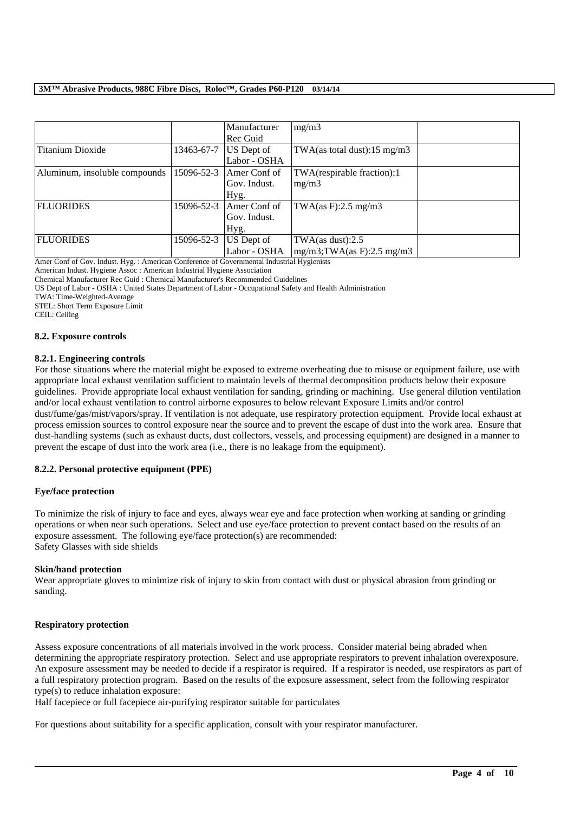|                               |            | Manufacturer | mg/m3                                   |  |
|-------------------------------|------------|--------------|-----------------------------------------|--|
|                               |            | Rec Guid     |                                         |  |
| Titanium Dioxide              | 13463-67-7 | US Dept of   | TWA(as total dust): $15 \text{ mg/m}$ 3 |  |
|                               |            | Labor - OSHA |                                         |  |
| Aluminum, insoluble compounds | 15096-52-3 | Amer Conf of | TWA(respirable fraction):1              |  |
|                               |            | Gov. Indust. | mg/m3                                   |  |
|                               |            | Hyg.         |                                         |  |
| <b>FLUORIDES</b>              | 15096-52-3 | Amer Conf of | TWA $(as F): 2.5 mg/m3$                 |  |
|                               |            | Gov. Indust. |                                         |  |
|                               |            | Hyg.         |                                         |  |
| <b>FLUORIDES</b>              | 15096-52-3 | US Dept of   | TWA $(as dust):2.5$                     |  |
|                               |            | Labor - OSHA | $mg/m3$ ; TWA(as F): 2.5 mg/m3          |  |

Amer Conf of Gov. Indust. Hyg. : American Conference of Governmental Industrial Hygienists

American Indust. Hygiene Assoc : American Industrial Hygiene Association

Chemical Manufacturer Rec Guid : Chemical Manufacturer's Recommended Guidelines

US Dept of Labor - OSHA : United States Department of Labor - Occupational Safety and Health Administration

TWA: Time-Weighted-Average

STEL: Short Term Exposure Limit

CEIL: Ceiling

#### **8.2. Exposure controls**

#### **8.2.1. Engineering controls**

For those situations where the material might be exposed to extreme overheating due to misuse or equipment failure, use with appropriate local exhaust ventilation sufficient to maintain levels of thermal decomposition products below their exposure guidelines. Provide appropriate local exhaust ventilation for sanding, grinding or machining. Use general dilution ventilation and/or local exhaust ventilation to control airborne exposures to below relevant Exposure Limits and/or control

dust/fume/gas/mist/vapors/spray. If ventilation is not adequate, use respiratory protection equipment. Provide local exhaust at process emission sources to control exposure near the source and to prevent the escape of dust into the work area. Ensure that dust-handling systems (such as exhaust ducts, dust collectors, vessels, and processing equipment) are designed in a manner to prevent the escape of dust into the work area (i.e., there is no leakage from the equipment).

#### **8.2.2. Personal protective equipment (PPE)**

#### **Eye/face protection**

To minimize the risk of injury to face and eyes, always wear eye and face protection when working at sanding or grinding operations or when near such operations. Select and use eye/face protection to prevent contact based on the results of an exposure assessment. The following eye/face protection(s) are recommended: Safety Glasses with side shields

#### **Skin/hand protection**

Wear appropriate gloves to minimize risk of injury to skin from contact with dust or physical abrasion from grinding or sanding.

#### **Respiratory protection**

Assess exposure concentrations of all materials involved in the work process. Consider material being abraded when determining the appropriate respiratory protection. Select and use appropriate respirators to prevent inhalation overexposure. An exposure assessment may be needed to decide if a respirator is required. If a respirator is needed, use respirators as part of a full respiratory protection program. Based on the results of the exposure assessment, select from the following respirator type(s) to reduce inhalation exposure:

\_\_\_\_\_\_\_\_\_\_\_\_\_\_\_\_\_\_\_\_\_\_\_\_\_\_\_\_\_\_\_\_\_\_\_\_\_\_\_\_\_\_\_\_\_\_\_\_\_\_\_\_\_\_\_\_\_\_\_\_\_\_\_\_\_\_\_\_\_\_\_\_\_\_\_\_\_\_\_\_\_\_\_\_\_\_\_\_\_\_

Half facepiece or full facepiece air-purifying respirator suitable for particulates

For questions about suitability for a specific application, consult with your respirator manufacturer.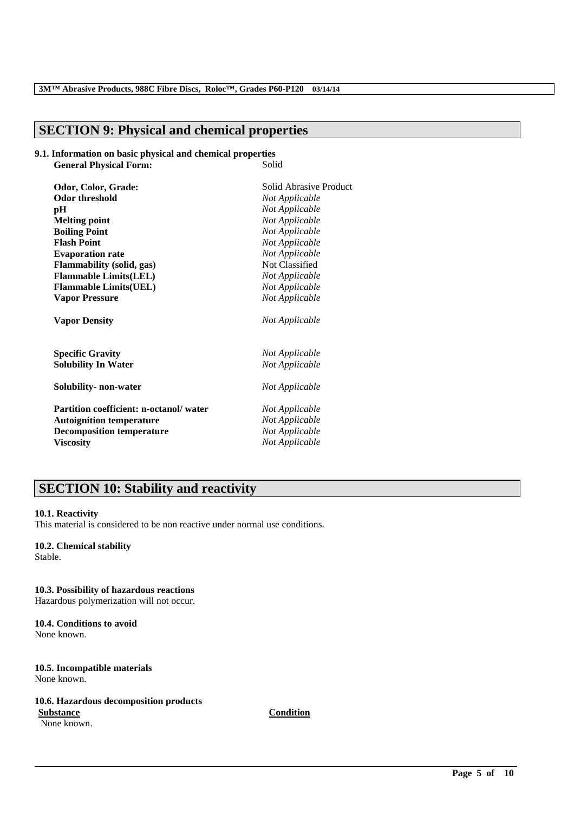# **SECTION 9: Physical and chemical properties**

#### **9.1. Information on basic physical and chemical properties General Physical Forms**

| General Physical Porin;                | oulu                   |
|----------------------------------------|------------------------|
| Odor, Color, Grade:                    | Solid Abrasive Product |
| <b>Odor threshold</b>                  | Not Applicable         |
| pН                                     | Not Applicable         |
| <b>Melting point</b>                   | Not Applicable         |
| <b>Boiling Point</b>                   | Not Applicable         |
| <b>Flash Point</b>                     | Not Applicable         |
| <b>Evaporation rate</b>                | Not Applicable         |
| Flammability (solid, gas)              | Not Classified         |
| <b>Flammable Limits(LEL)</b>           | Not Applicable         |
| <b>Flammable Limits(UEL)</b>           | Not Applicable         |
| <b>Vapor Pressure</b>                  | Not Applicable         |
| <b>Vapor Density</b>                   | Not Applicable         |
| <b>Specific Gravity</b>                | Not Applicable         |
| <b>Solubility In Water</b>             | Not Applicable         |
| Solubility- non-water                  | Not Applicable         |
| Partition coefficient: n-octanol/water | Not Applicable         |
| <b>Autoignition temperature</b>        | Not Applicable         |
| <b>Decomposition temperature</b>       | Not Applicable         |
| <b>Viscosity</b>                       | Not Applicable         |
|                                        |                        |

# **SECTION 10: Stability and reactivity**

#### **10.1. Reactivity**

This material is considered to be non reactive under normal use conditions.

## **10.2. Chemical stability**

Stable.

# **10.3. Possibility of hazardous reactions**

Hazardous polymerization will not occur.

#### **10.4. Conditions to avoid** None known.

#### **10.5. Incompatible materials** None known.

#### **10.6. Hazardous decomposition products Substance Condition**

None known.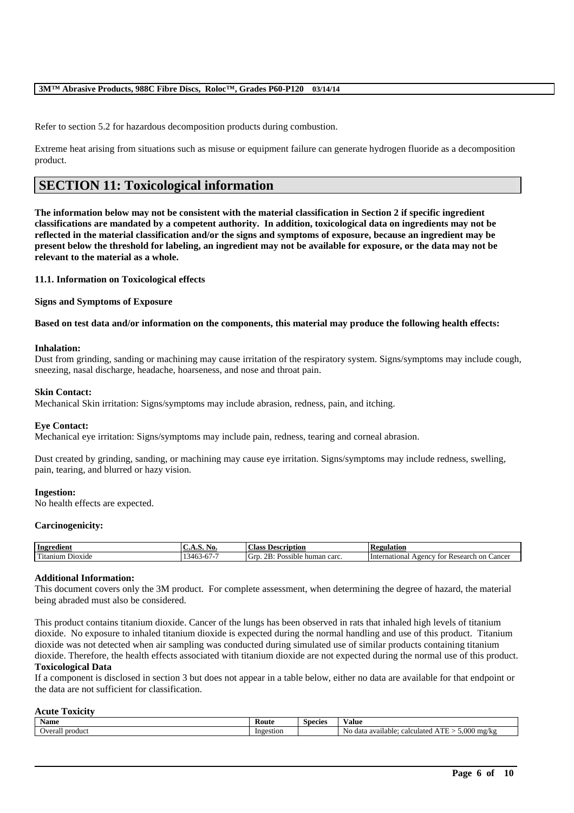Refer to section 5.2 for hazardous decomposition products during combustion.

Extreme heat arising from situations such as misuse or equipment failure can generate hydrogen fluoride as a decomposition product.

# **SECTION 11: Toxicological information**

**The information below may not be consistent with the material classification in Section 2 if specific ingredient classifications are mandated by a competent authority. In addition, toxicological data on ingredients may not be reflected in the material classification and/or the signs and symptoms of exposure, because an ingredient may be present below the threshold for labeling, an ingredient may not be available for exposure, or the data may not be relevant to the material as a whole.**

**11.1. Information on Toxicological effects**

**Signs and Symptoms of Exposure**

**Based on test data and/or information on the components, this material may produce the following health effects:**

#### **Inhalation:**

Dust from grinding, sanding or machining may cause irritation of the respiratory system. Signs/symptoms may include cough, sneezing, nasal discharge, headache, hoarseness, and nose and throat pain.

#### **Skin Contact:**

Mechanical Skin irritation: Signs/symptoms may include abrasion, redness, pain, and itching.

#### **Eye Contact:**

Mechanical eye irritation: Signs/symptoms may include pain, redness, tearing and corneal abrasion.

Dust created by grinding, sanding, or machining may cause eye irritation. Signs/symptoms may include redness, swelling, pain, tearing, and blurred or hazy vision.

#### **Ingestion:**

No health effects are expected.

#### **Carcinogenicity:**

| Ingredient                                 | .<br>- - -                     | <b>Class</b><br><b>Description</b>                          | gulation                                                                      |
|--------------------------------------------|--------------------------------|-------------------------------------------------------------|-------------------------------------------------------------------------------|
| $\sim$<br>D <sub>10X1</sub> de<br>Fitanium | 346.<br>$\cdots$<br>. <i>.</i> | <br>~~<br>Gitt<br>carc<br>human<br>ossible<br>$\sim$<br>. . | ∠ancer<br>International<br>Research<br>on<br>A <sub>genc</sub><br>tor<br>∵ K⊾ |

#### **Additional Information:**

This document covers only the 3M product. For complete assessment, when determining the degree of hazard, the material being abraded must also be considered.

This product contains titanium dioxide. Cancer of the lungs has been observed in rats that inhaled high levels of titanium dioxide. No exposure to inhaled titanium dioxide is expected during the normal handling and use of this product. Titanium dioxide was not detected when air sampling was conducted during simulated use of similar products containing titanium dioxide. Therefore, the health effects associated with titanium dioxide are not expected during the normal use of this product. **Toxicological Data**

If a component is disclosed in section 3 but does not appear in a table below, either no data are available for that endpoint or the data are not sufficient for classification.

#### **Acute Toxicity**

| <b>Name</b>        | Route     | <b>Species</b> | V alue                                                                      |
|--------------------|-----------|----------------|-----------------------------------------------------------------------------|
| product<br>Overall | Ingestion |                | 5.000<br>$-$<br>Nο<br>) mg/k<br>. available:<br>-data<br>calculate .<br>. . |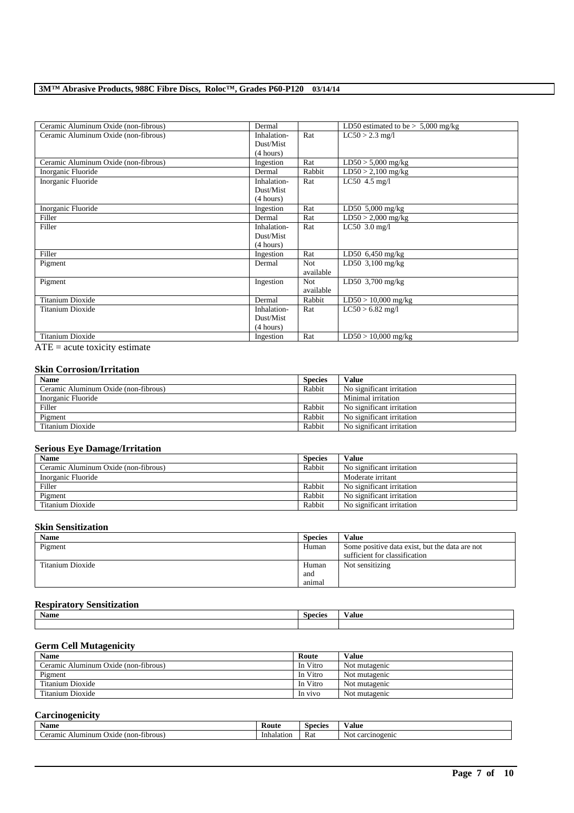| Ceramic Aluminum Oxide (non-fibrous) | Dermal      |            | LD50 estimated to be $> 5,000$ mg/kg |
|--------------------------------------|-------------|------------|--------------------------------------|
| Ceramic Aluminum Oxide (non-fibrous) | Inhalation- | Rat        | $LC50 > 2.3$ mg/l                    |
|                                      | Dust/Mist   |            |                                      |
|                                      | (4 hours)   |            |                                      |
| Ceramic Aluminum Oxide (non-fibrous) | Ingestion   | Rat        | $LD50 > 5,000$ mg/kg                 |
| Inorganic Fluoride                   | Dermal      | Rabbit     | $LD50 > 2,100$ mg/kg                 |
| Inorganic Fluoride                   | Inhalation- | Rat        | LC50 $4.5$ mg/l                      |
|                                      | Dust/Mist   |            |                                      |
|                                      | (4 hours)   |            |                                      |
| Inorganic Fluoride                   | Ingestion   | Rat        | LD50 $5,000$ mg/kg                   |
| Filler                               | Dermal      | Rat        | $LD50 > 2,000$ mg/kg                 |
| Filler                               | Inhalation- | Rat        | $LC50$ 3.0 mg/l                      |
|                                      | Dust/Mist   |            |                                      |
|                                      | (4 hours)   |            |                                      |
| Filler                               | Ingestion   | Rat        | LD50 $6,450$ mg/kg                   |
| Pigment                              | Dermal      | <b>Not</b> | LD50 $3,100$ mg/kg                   |
|                                      |             | available  |                                      |
| Pigment                              | Ingestion   | Not.       | LD50 $3,700$ mg/kg                   |
|                                      |             | available  |                                      |
| <b>Titanium Dioxide</b>              | Dermal      | Rabbit     | $LD50 > 10,000$ mg/kg                |
| Titanium Dioxide                     | Inhalation- | Rat        | $LC50 > 6.82$ mg/l                   |
|                                      | Dust/Mist   |            |                                      |
|                                      | (4 hours)   |            |                                      |
| <b>Titanium Dioxide</b>              | Ingestion   | Rat        | $LD50 > 10,000$ mg/kg                |

 $\overline{ATE}$  = acute toxicity estimate

## **Skin Corrosion/Irritation**

| <b>Name</b>                          | <b>Species</b> | Value                     |
|--------------------------------------|----------------|---------------------------|
| Ceramic Aluminum Oxide (non-fibrous) | Rabbit         | No significant irritation |
| Inorganic Fluoride                   |                | Minimal irritation        |
| Filler                               | Rabbit         | No significant irritation |
| Pigment                              | Rabbit         | No significant irritation |
| Titanium Dioxide                     | Rabbit         | No significant irritation |

## **Serious Eye Damage/Irritation**

| <b>Name</b>                          | <b>Species</b> | Value                     |
|--------------------------------------|----------------|---------------------------|
| Ceramic Aluminum Oxide (non-fibrous) | Rabbit         | No significant irritation |
| Inorganic Fluoride                   |                | Moderate irritant         |
| Filler                               | Rabbit         | No significant irritation |
| Pigment                              | Rabbit         | No significant irritation |
| Titanium Dioxide                     | Rabbit         | No significant irritation |

#### **Skin Sensitization**

| <b>Name</b>      | <b>Species</b> | <b>Value</b>                                   |
|------------------|----------------|------------------------------------------------|
| Pigment          | Human          | Some positive data exist, but the data are not |
|                  |                | sufficient for classification                  |
| Titanium Dioxide | Human          | Not sensitizing                                |
|                  | and            |                                                |
|                  | animal         |                                                |

#### **Respiratory Sensitization**

| Name | $\sim$<br>Species | ⁄ alue |
|------|-------------------|--------|
|      |                   |        |

## **Germ Cell Mutagenicity**

| <b>Name</b>                          | Route    | Value         |
|--------------------------------------|----------|---------------|
| Ceramic Aluminum Oxide (non-fibrous) | In Vitro | Not mutagenic |
| Pigment                              | In Vitro | Not mutagenic |
| Titanium Dioxide                     | In Vitro | Not mutagenic |
| Titanium Dioxide                     | In vivo  | Not mutagenic |

## **Carcinogenicity**

| $\mathbf{A}$<br><b>Name</b>                       | Koute      | <b>Species</b> | ⁄ alue               |
|---------------------------------------------------|------------|----------------|----------------------|
| fibrous<br>Ceramic<br>Alumınum<br>Oxide<br>$non-$ | Inhalation | <b>Rat</b>     | Not.<br>carcinogenic |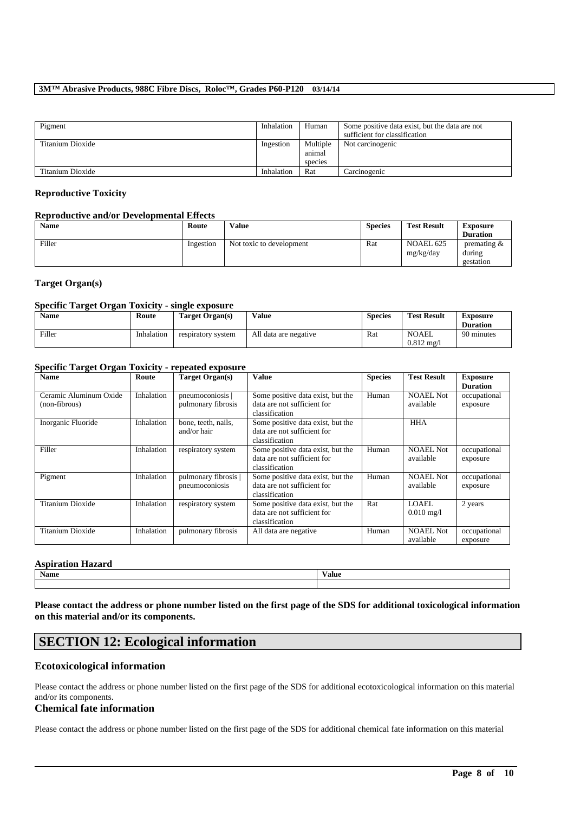| Pigment          | Inhalation | Human                         | Some positive data exist, but the data are not<br>sufficient for classification |
|------------------|------------|-------------------------------|---------------------------------------------------------------------------------|
| Titanium Dioxide | Ingestion  | Multiple<br>animal<br>species | Not carcinogenic                                                                |
| Titanium Dioxide | Inhalation | Rat                           | Carcinogenic                                                                    |

### **Reproductive Toxicity**

#### **Reproductive and/or Developmental Effects**

| <b>Name</b> | Route     | <b>Value</b>             | <b>Species</b> | <b>Test Result</b>     | <b>Exposure</b><br><b>Duration</b>    |
|-------------|-----------|--------------------------|----------------|------------------------|---------------------------------------|
| Filler      | Ingestion | Not toxic to development | Rat            | NOAEL 625<br>mg/kg/day | premating $\&$<br>during<br>gestation |

### **Target Organ(s)**

### **Specific Target Organ Toxicity - single exposure**

| <b>Name</b> | Route      | Target Organ(s)    | Value                 | <b>Species</b> | <b>Test Result</b>             | <b>Exposure</b><br><b>Duration</b> |
|-------------|------------|--------------------|-----------------------|----------------|--------------------------------|------------------------------------|
| Filler      | Inhalation | respiratory system | All data are negative | Rat            | NOAEL<br>$0.812 \text{ m}$ g/l | 90 minutes                         |

## **Specific Target Organ Toxicity - repeated exposure**

| $\sim$<br>- <del>.</del><br><b>Name</b> | Route      | <b>Target Organ(s)</b>                 | <b>Value</b>                                                                       | <b>Species</b> | <b>Test Result</b>            | <b>Exposure</b><br><b>Duration</b> |
|-----------------------------------------|------------|----------------------------------------|------------------------------------------------------------------------------------|----------------|-------------------------------|------------------------------------|
| Ceramic Aluminum Oxide<br>(non-fibrous) | Inhalation | pneumoconiosis  <br>pulmonary fibrosis | Some positive data exist, but the<br>data are not sufficient for<br>classification | Human          | <b>NOAEL Not</b><br>available | occupational<br>exposure           |
| Inorganic Fluoride                      | Inhalation | bone, teeth, nails,<br>and/or hair     | Some positive data exist, but the<br>data are not sufficient for<br>classification |                | <b>HHA</b>                    |                                    |
| Filler                                  | Inhalation | respiratory system                     | Some positive data exist, but the<br>data are not sufficient for<br>classification | Human          | <b>NOAEL Not</b><br>available | occupational<br>exposure           |
| Pigment                                 | Inhalation | pulmonary fibrosis  <br>pneumoconiosis | Some positive data exist, but the<br>data are not sufficient for<br>classification | Human          | <b>NOAEL Not</b><br>available | occupational<br>exposure           |
| Titanium Dioxide                        | Inhalation | respiratory system                     | Some positive data exist, but the<br>data are not sufficient for<br>classification | Rat            | LOAEL<br>$0.010 \text{ mg}/1$ | 2 years                            |
| Titanium Dioxide                        | Inhalation | pulmonary fibrosis                     | All data are negative                                                              | Human          | <b>NOAEL Not</b><br>available | occupational<br>exposure           |

## **Aspiration Hazard**

**Name Value**

**Please contact the address or phone number listed on the first page of the SDS for additional toxicological information on this material and/or its components.**

# **SECTION 12: Ecological information**

# **Ecotoxicological information**

Please contact the address or phone number listed on the first page of the SDS for additional ecotoxicological information on this material and/or its components.

## **Chemical fate information**

Please contact the address or phone number listed on the first page of the SDS for additional chemical fate information on this material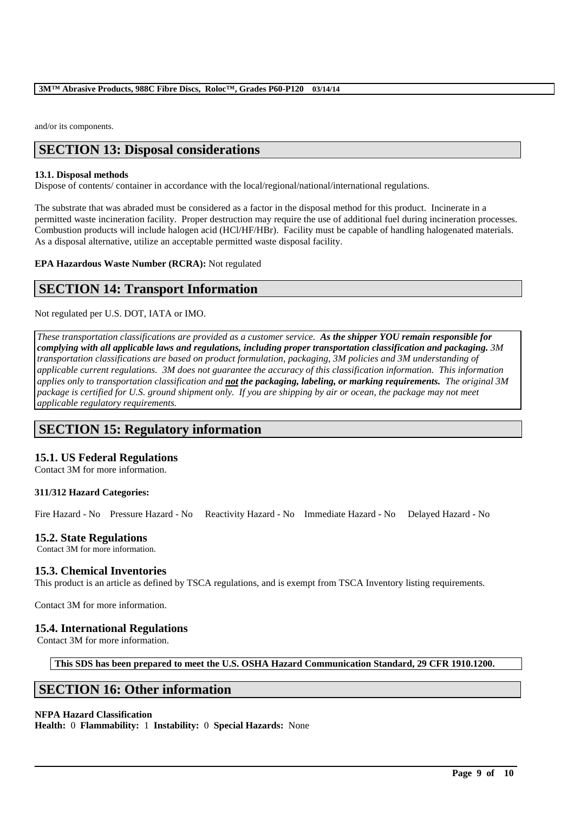and/or its components.

# **SECTION 13: Disposal considerations**

#### **13.1. Disposal methods**

Dispose of contents/ container in accordance with the local/regional/national/international regulations.

The substrate that was abraded must be considered as a factor in the disposal method for this product. Incinerate in a permitted waste incineration facility. Proper destruction may require the use of additional fuel during incineration processes. Combustion products will include halogen acid (HCl/HF/HBr). Facility must be capable of handling halogenated materials. As a disposal alternative, utilize an acceptable permitted waste disposal facility.

**EPA Hazardous Waste Number (RCRA):** Not regulated

# **SECTION 14: Transport Information**

Not regulated per U.S. DOT, IATA or IMO.

*These transportation classifications are provided as a customer service. As the shipper YOU remain responsible for complying with all applicable laws and regulations, including proper transportation classification and packaging. 3M transportation classifications are based on product formulation, packaging, 3M policies and 3M understanding of applicable current regulations. 3M does not guarantee the accuracy of this classification information. This information applies only to transportation classification and not the packaging, labeling, or marking requirements. The original 3M package is certified for U.S. ground shipment only. If you are shipping by air or ocean, the package may not meet applicable regulatory requirements.* 

# **SECTION 15: Regulatory information**

## **15.1. US Federal Regulations**

Contact 3M for more information.

#### **311/312 Hazard Categories:**

Fire Hazard - No Pressure Hazard - No Reactivity Hazard - No Immediate Hazard - No Delayed Hazard - No

#### **15.2. State Regulations**

Contact 3M for more information.

## **15.3. Chemical Inventories**

This product is an article as defined by TSCA regulations, and is exempt from TSCA Inventory listing requirements.

Contact 3M for more information.

#### **15.4. International Regulations**

Contact 3M for more information.

**This SDS has been prepared to meet the U.S. OSHA Hazard Communication Standard, 29 CFR 1910.1200.**

\_\_\_\_\_\_\_\_\_\_\_\_\_\_\_\_\_\_\_\_\_\_\_\_\_\_\_\_\_\_\_\_\_\_\_\_\_\_\_\_\_\_\_\_\_\_\_\_\_\_\_\_\_\_\_\_\_\_\_\_\_\_\_\_\_\_\_\_\_\_\_\_\_\_\_\_\_\_\_\_\_\_\_\_\_\_\_\_\_\_

# **SECTION 16: Other information**

#### **NFPA Hazard Classification**

**Health:** 0 **Flammability:** 1 **Instability:** 0 **Special Hazards:** None